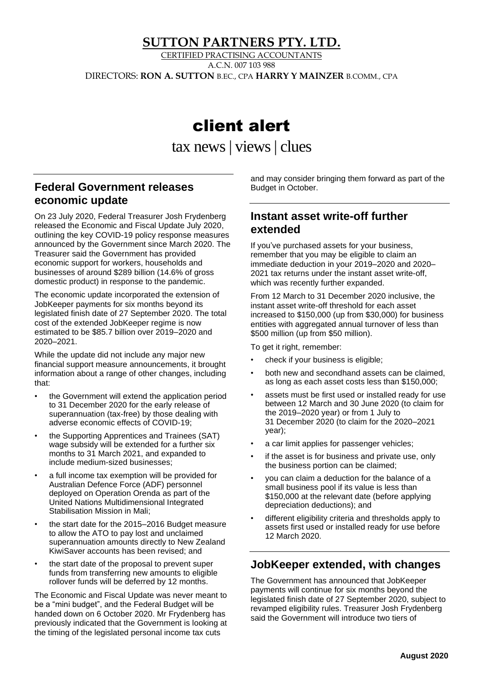### **SUTTON PARTNERS PTY. LTD.**

CERTIFIED PRACTISING ACCOUNTANTS A.C.N. 007 103 988

DIRECTORS: **RON A. SUTTON** B.EC., CPA **HARRY Y MAINZER** B.COMM., CPA

# client alert

tax news | views| clues

# **Federal Government releases economic update**

On 23 July 2020, Federal Treasurer Josh Frydenberg released the Economic and Fiscal Update July 2020, outlining the key COVID-19 policy response measures announced by the Government since March 2020. The Treasurer said the Government has provided economic support for workers, households and businesses of around \$289 billion (14.6% of gross domestic product) in response to the pandemic.

The economic update incorporated the extension of JobKeeper payments for six months beyond its legislated finish date of 27 September 2020. The total cost of the extended JobKeeper regime is now estimated to be \$85.7 billion over 2019–2020 and 2020–2021.

While the update did not include any major new financial support measure announcements, it brought information about a range of other changes, including that:

- the Government will extend the application period to 31 December 2020 for the early release of superannuation (tax-free) by those dealing with adverse economic effects of COVID-19;
- the Supporting Apprentices and Trainees (SAT) wage subsidy will be extended for a further six months to 31 March 2021, and expanded to include medium-sized businesses;
- a full income tax exemption will be provided for Australian Defence Force (ADF) personnel deployed on Operation Orenda as part of the United Nations Multidimensional Integrated Stabilisation Mission in Mali;
- the start date for the 2015–2016 Budget measure to allow the ATO to pay lost and unclaimed superannuation amounts directly to New Zealand KiwiSaver accounts has been revised; and
- the start date of the proposal to prevent super funds from transferring new amounts to eligible rollover funds will be deferred by 12 months.

The Economic and Fiscal Update was never meant to be a "mini budget", and the Federal Budget will be handed down on 6 October 2020. Mr Frydenberg has previously indicated that the Government is looking at the timing of the legislated personal income tax cuts

and may consider bringing them forward as part of the Budget in October.

### **Instant asset write-off further extended**

If you've purchased assets for your business, remember that you may be eligible to claim an immediate deduction in your 2019–2020 and 2020– 2021 tax returns under the instant asset write-off, which was recently further expanded.

From 12 March to 31 December 2020 inclusive, the instant asset write-off threshold for each asset increased to \$150,000 (up from \$30,000) for business entities with aggregated annual turnover of less than \$500 million (up from \$50 million).

To get it right, remember:

- check if your business is eligible;
- both new and secondhand assets can be claimed, as long as each asset costs less than \$150,000;
- assets must be first used or installed ready for use between 12 March and 30 June 2020 (to claim for the 2019–2020 year) or from 1 July to 31 December 2020 (to claim for the 2020–2021 year);
- a car limit applies for passenger vehicles;
- if the asset is for business and private use, only the business portion can be claimed;
- you can claim a deduction for the balance of a small business pool if its value is less than \$150,000 at the relevant date (before applying depreciation deductions); and
- different eligibility criteria and thresholds apply to assets first used or installed ready for use before 12 March 2020.

## **JobKeeper extended, with changes**

The Government has announced that JobKeeper payments will continue for six months beyond the legislated finish date of 27 September 2020, subject to revamped eligibility rules. Treasurer Josh Frydenberg said the Government will introduce two tiers of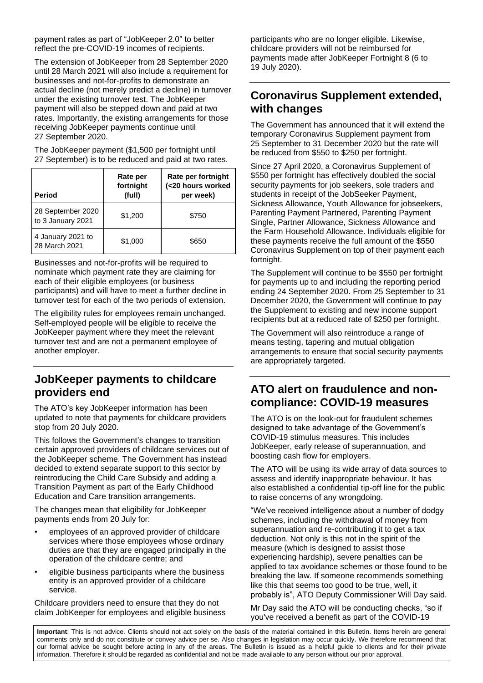payment rates as part of "JobKeeper 2.0" to better reflect the pre-COVID-19 incomes of recipients.

The extension of JobKeeper from 28 September 2020 until 28 March 2021 will also include a requirement for businesses and not-for-profits to demonstrate an actual decline (not merely predict a decline) in turnover under the existing turnover test. The JobKeeper payment will also be stepped down and paid at two rates. Importantly, the existing arrangements for those receiving JobKeeper payments continue until 27 September 2020.

The JobKeeper payment (\$1,500 per fortnight until 27 September) is to be reduced and paid at two rates.

| <b>Period</b>                          | Rate per<br>fortnight<br>(full) | Rate per fortnight<br>(<20 hours worked<br>per week) |
|----------------------------------------|---------------------------------|------------------------------------------------------|
| 28 September 2020<br>to 3 January 2021 | \$1,200                         | \$750                                                |
| 4 January 2021 to<br>28 March 2021     | \$1,000                         | \$650                                                |

Businesses and not-for-profits will be required to nominate which payment rate they are claiming for each of their eligible employees (or business participants) and will have to meet a further decline in turnover test for each of the two periods of extension.

The eligibility rules for employees remain unchanged. Self-employed people will be eligible to receive the JobKeeper payment where they meet the relevant turnover test and are not a permanent employee of another employer.

## **JobKeeper payments to childcare providers end**

The ATO's key JobKeeper information has been updated to note that payments for childcare providers stop from 20 July 2020.

This follows the Government's changes to transition certain approved providers of childcare services out of the JobKeeper scheme. The Government has instead decided to extend separate support to this sector by reintroducing the Child Care Subsidy and adding a Transition Payment as part of the Early Childhood Education and Care transition arrangements.

The changes mean that eligibility for JobKeeper payments ends from 20 July for:

- employees of an approved provider of childcare services where those employees whose ordinary duties are that they are engaged principally in the operation of the childcare centre; and
- eligible business participants where the business entity is an approved provider of a childcare service.

Childcare providers need to ensure that they do not claim JobKeeper for employees and eligible business participants who are no longer eligible. Likewise, childcare providers will not be reimbursed for payments made after JobKeeper Fortnight 8 (6 to 19 July 2020).

## **Coronavirus Supplement extended, with changes**

The Government has announced that it will extend the temporary Coronavirus Supplement payment from 25 September to 31 December 2020 but the rate will be reduced from \$550 to \$250 per fortnight.

Since 27 April 2020, a Coronavirus Supplement of \$550 per fortnight has effectively doubled the social security payments for job seekers, sole traders and students in receipt of the JobSeeker Payment, Sickness Allowance, Youth Allowance for jobseekers, Parenting Payment Partnered, Parenting Payment Single, Partner Allowance, Sickness Allowance and the Farm Household Allowance. Individuals eligible for these payments receive the full amount of the \$550 Coronavirus Supplement on top of their payment each fortnight.

The Supplement will continue to be \$550 per fortnight for payments up to and including the reporting period ending 24 September 2020. From 25 September to 31 December 2020, the Government will continue to pay the Supplement to existing and new income support recipients but at a reduced rate of \$250 per fortnight.

The Government will also reintroduce a range of means testing, tapering and mutual obligation arrangements to ensure that social security payments are appropriately targeted.

#### **ATO alert on fraudulence and noncompliance: COVID-19 measures**

The ATO is on the look-out for fraudulent schemes designed to take advantage of the Government's COVID-19 stimulus measures. This includes JobKeeper, early release of superannuation, and boosting cash flow for employers.

The ATO will be using its wide array of data sources to assess and identify inappropriate behaviour. It has also established a confidential tip-off line for the public to raise concerns of any wrongdoing.

"We've received intelligence about a number of dodgy schemes, including the withdrawal of money from superannuation and re-contributing it to get a tax deduction. Not only is this not in the spirit of the measure (which is designed to assist those experiencing hardship), severe penalties can be applied to tax avoidance schemes or those found to be breaking the law. If someone recommends something like this that seems too good to be true, well, it probably is", ATO Deputy Commissioner Will Day said.

Mr Day said the ATO will be conducting checks, "so if you've received a benefit as part of the COVID-19

**Important**: This is not advice. Clients should not act solely on the basis of the material contained in this Bulletin. Items herein are general comments only and do not constitute or convey advice per se. Also changes in legislation may occur quickly. We therefore recommend that our formal advice be sought before acting in any of the areas. The Bulletin is issued as a helpful guide to clients and for their private information. Therefore it should be regarded as confidential and not be made available to any person without our prior approval.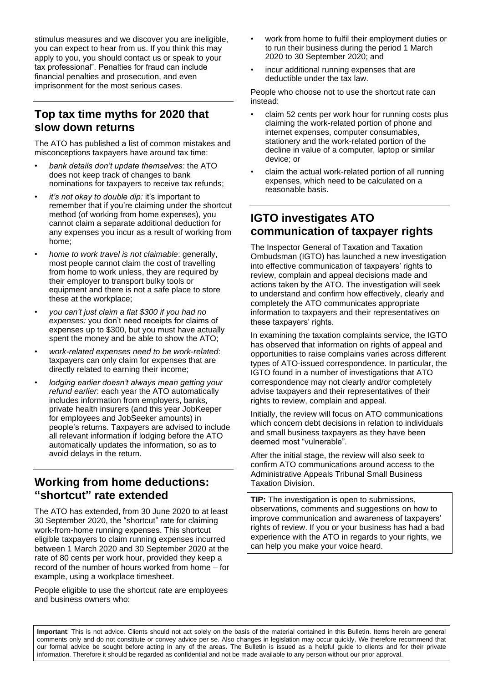stimulus measures and we discover you are ineligible, you can expect to hear from us. If you think this may apply to you, you should contact us or speak to your tax professional". Penalties for fraud can include financial penalties and prosecution, and even imprisonment for the most serious cases.

## **Top tax time myths for 2020 that slow down returns**

The ATO has published a list of common mistakes and misconceptions taxpayers have around tax time:

- *bank details don't update themselves:* the ATO does not keep track of changes to bank nominations for taxpayers to receive tax refunds;
- *it's not okay to double dip:* it's important to remember that if you're claiming under the shortcut method (of working from home expenses), you cannot claim a separate additional deduction for any expenses you incur as a result of working from home;
- *home to work travel is not claimable*: generally, most people cannot claim the cost of travelling from home to work unless, they are required by their employer to transport bulky tools or equipment and there is not a safe place to store these at the workplace;
- *you can't just claim a flat \$300 if you had no expenses:* you don't need receipts for claims of expenses up to \$300, but you must have actually spent the money and be able to show the ATO;
- *work-related expenses need to be work-related*: taxpayers can only claim for expenses that are directly related to earning their income;
- *lodging earlier doesn't always mean getting your refund earlier*: each year the ATO automatically includes information from employers, banks, private health insurers (and this year JobKeeper for employees and JobSeeker amounts) in people's returns. Taxpayers are advised to include all relevant information if lodging before the ATO automatically updates the information, so as to avoid delays in the return.

## **Working from home deductions: "shortcut" rate extended**

The ATO has extended, from 30 June 2020 to at least 30 September 2020, the "shortcut" rate for claiming work-from-home running expenses. This shortcut eligible taxpayers to claim running expenses incurred between 1 March 2020 and 30 September 2020 at the rate of 80 cents per work hour, provided they keep a record of the number of hours worked from home – for example, using a workplace timesheet.

People eligible to use the shortcut rate are employees and business owners who:

- work from home to fulfil their employment duties or to run their business during the period 1 March 2020 to 30 September 2020; and
- incur additional running expenses that are deductible under the tax law.

People who choose not to use the shortcut rate can instead:

- claim 52 cents per work hour for running costs plus claiming the work-related portion of phone and internet expenses, computer consumables, stationery and the work-related portion of the decline in value of a computer, laptop or similar device; or
- claim the actual work-related portion of all running expenses, which need to be calculated on a reasonable basis.

# **IGTO investigates ATO communication of taxpayer rights**

The Inspector General of Taxation and Taxation Ombudsman (IGTO) has launched a new investigation into effective communication of taxpayers' rights to review, complain and appeal decisions made and actions taken by the ATO. The investigation will seek to understand and confirm how effectively, clearly and completely the ATO communicates appropriate information to taxpayers and their representatives on these taxpayers' rights.

In examining the taxation complaints service, the IGTO has observed that information on rights of appeal and opportunities to raise complains varies across different types of ATO-issued correspondence. In particular, the IGTO found in a number of investigations that ATO correspondence may not clearly and/or completely advise taxpayers and their representatives of their rights to review, complain and appeal.

Initially, the review will focus on ATO communications which concern debt decisions in relation to individuals and small business taxpayers as they have been deemed most "vulnerable".

After the initial stage, the review will also seek to confirm ATO communications around access to the Administrative Appeals Tribunal Small Business Taxation Division.

**TIP:** The investigation is open to submissions, observations, comments and suggestions on how to improve communication and awareness of taxpayers' rights of review. If you or your business has had a bad experience with the ATO in regards to your rights, we can help you make your voice heard.

**Important**: This is not advice. Clients should not act solely on the basis of the material contained in this Bulletin. Items herein are general comments only and do not constitute or convey advice per se. Also changes in legislation may occur quickly. We therefore recommend that our formal advice be sought before acting in any of the areas. The Bulletin is issued as a helpful guide to clients and for their private information. Therefore it should be regarded as confidential and not be made available to any person without our prior approval.